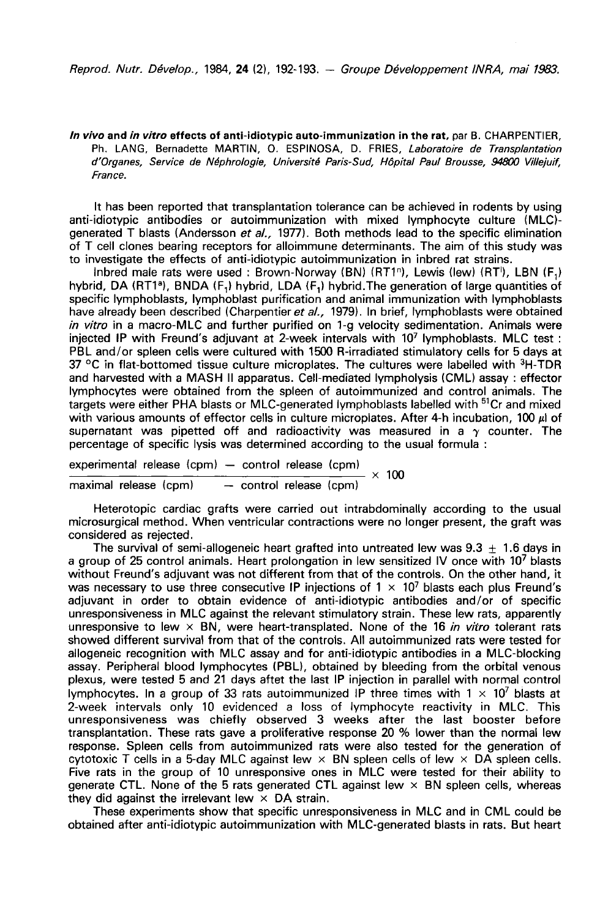In vivo and in vitro effects of anti-idiotypic auto-immunization in the rat, par B. CHARPENTIER, Ph. LANG, Bernadette MARTIN, O. ESPINOSA, D. FRIES, Laboratoire de Transplantation d'Organes, Service de N6phrologie, Universite Paris-Sud, Hopital Paul Brousse, 94800 Villejuif, France.

It has been reported that transplantation tolerance can be achieved in rodents by using anti-idiotypic antibodies or autoimmunization with mixed lymphocyte culture (MLC) generated T blasts (Andersson et al., 1977). Both methods lead to the specific elimination of T cell clones bearing receptors for alloimmune determinants. The aim of this study was to investigate the effects of anti-idiotypic autoimmunization in inbred rat strains.

Inbred male rats were used : Brown-Norway (BN) (RT1<sup>n</sup>), Lewis (lew) (RT<sup>1</sup>), LBN (F<sub>1</sub>) hybrid, DA (RT1<sup>a</sup>), BNDA (F<sub>1</sub>) hybrid, LDA (F<sub>1</sub>) hybrid. The generation of large quantities of specific lymphoblasts, lymphoblast purification and animal immunization with lymphoblasts have already been described (Charpentier et al., 1979). In brief, lymphoblasts were obtained in vitro in a macro-MLC and further purified on 1-g velocity sedimentation. Animals were injected IP with Freund's adjuvant at 2-week intervals with  $10^7$  lymphoblasts. MLC test : PBL and/or spleen cells were cultured wi injected IP with Freund's adjuvant at 2-week intervals with 107 lymphoblasts. MLC test : PBL and/or spleen cells were cultured with 1500 R-irradiated stimulatory cells for 5 days at PPL Price in the S<br>37 °C in flat-bottomed tissue culture microplates. The cultures were labelled with <sup>3</sup>H-TDR and harvested with a MASH II apparatus. Cell-mediated lympholysis (CML) assay : effector lymphocytes were obtained from the spleen of autoimmunized and control animals. The targets were either PHA blasts or MLC-generated lymphoblasts labelled with <sup>51</sup>Cr and mixed with various amounts of effector cells in culture microplates. After 4-h incubation, 100  $\mu$  of supernatant was pipetted off and radioactivity was measured in a  $\gamma$  counter. The percentage of specific lysis was determined according to the usual formula :

experimental release (cpm) - control release (cpm)  $\frac{-\text{control release (cpm)}}{-\text{control release (cpm)}} \times 100$ maximal release (cpm)

Heterotopic cardiac grafts were carried out intrabdominally according to the usual microsurgical method. When ventricular contractions were no longer present, the graft was considered as rejected.

The survival of semi-allogeneic heart grafted into untreated lew was  $9.3 \pm 1.6$  days in a group of 25 control animals. Heart prolongation in lew sensitized IV once with 10<sup>7</sup> blasts without Freund's adjuvant was not different from that of the controls. On the other hand, it was necessary to use three consecutive IP injections of  $1 \times 10^7$  blasts each plus Freund's adjuvant in order to obtain evidence of anti-idiotypic antibodies and/or of specific unresponsiveness in MLC against the relevant stimulatory strain. These lew rats, apparently unresponsive to lew  $\times$  BN, were heart-transplated. None of the 16 in vitro tolerant rats showed different survival from that of the controls. All autoimmunized rats were tested for allogeneic recognition with MLC assay and for anti-idiotypic antibodies in a MLC-blocking assay. Peripheral blood lymphocytes (PBL), obtained by bleeding from the orbital venous plexus, were tested 5 and 21 days aftet the last IP injection in parallel with normal control lymphocytes. In a group of 33 rats autoimmunized IP three times with  $1 \times 10^7$  blasts at 2-week intervals only 10 evidenced a loss of lymphocyte reactivity in MLC. This unresponsiveness was chiefly observed 3 weeks after the last booster before transplantation. These rats gave a proliferative response 20 % lower than the normal lew response. Spleen cells from autoimmunized rats were also tested for the generation of cytotoxic T cells in a 5-day MLC against lew  $\times$  BN spleen cells of lew  $\times$  DA spleen cells. Five rats in the group of 10 unresponsive ones in MLC were tested for their ability to generate CTL. None of the 5 rats generated CTL against lew  $\times$  BN spleen cells, whereas they did against the irrelevant lew  $\times$  DA strain.

These experiments show that specific unresponsiveness in MLC and in CML could be obtained after anti-idiotypic autoimmunization with MLC-generated blasts in rats. But heart